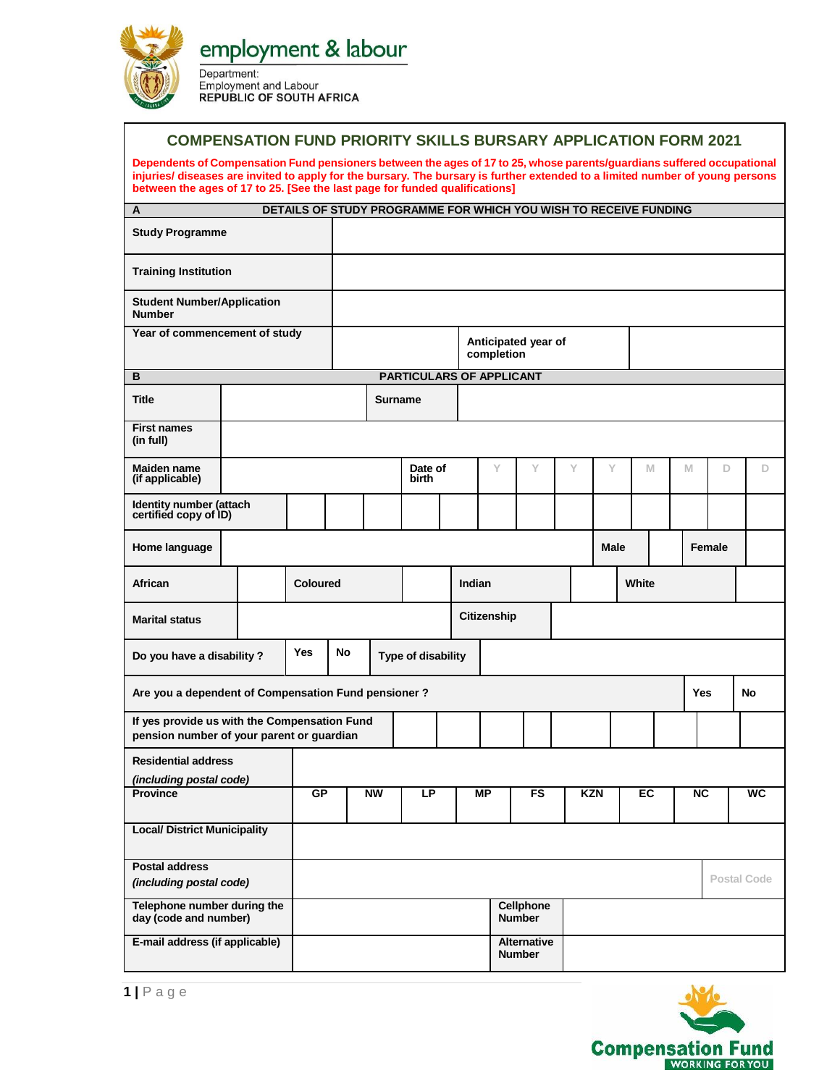

Department: **Employment and Labour REPUBLIC OF SOUTH AFRICA** 

## **COMPENSATION FUND PRIORITY SKILLS BURSARY APPLICATION FORM 2021**

**Dependents of Compensation Fund pensioners between the ages of 17 to 25, whose parents/guardians suffered occupational injuries/ diseases are invited to apply for the bursary. The bursary is further extended to a limited number of young persons between the ages of 17 to 25. [See the last page for funded qualifications]**

| $\overline{A}$                                                                            |                 |          |    |                          |                    |  |                                   | DETAILS OF STUDY PROGRAMME FOR WHICH YOU WISH TO RECEIVE FUNDING |   |             |    |  |            |                    |    |
|-------------------------------------------------------------------------------------------|-----------------|----------|----|--------------------------|--------------------|--|-----------------------------------|------------------------------------------------------------------|---|-------------|----|--|------------|--------------------|----|
| <b>Study Programme</b>                                                                    |                 |          |    |                          |                    |  |                                   |                                                                  |   |             |    |  |            |                    |    |
| <b>Training Institution</b>                                                               |                 |          |    |                          |                    |  |                                   |                                                                  |   |             |    |  |            |                    |    |
| <b>Student Number/Application</b><br><b>Number</b>                                        |                 |          |    |                          |                    |  |                                   |                                                                  |   |             |    |  |            |                    |    |
| Year of commencement of study                                                             |                 |          |    |                          |                    |  | Anticipated year of<br>completion |                                                                  |   |             |    |  |            |                    |    |
| B                                                                                         |                 |          |    | PARTICULARS OF APPLICANT |                    |  |                                   |                                                                  |   |             |    |  |            |                    |    |
| <b>Title</b>                                                                              |                 |          |    | <b>Surname</b>           |                    |  |                                   |                                                                  |   |             |    |  |            |                    |    |
| <b>First names</b><br>(in full)                                                           |                 |          |    |                          |                    |  |                                   |                                                                  |   |             |    |  |            |                    |    |
| Maiden name<br>(if applicable)                                                            |                 |          |    |                          | Date of<br>birth   |  | Y                                 | Y                                                                | Y | Y           | M  |  | M          | D                  | D  |
| Identity number (attach<br>certified copy of ID)                                          |                 |          |    |                          |                    |  |                                   |                                                                  |   |             |    |  |            |                    |    |
| Home language                                                                             |                 |          |    |                          |                    |  |                                   |                                                                  |   | <b>Male</b> |    |  |            | Female             |    |
| African                                                                                   | <b>Coloured</b> |          |    |                          | Indian             |  |                                   |                                                                  |   | White       |    |  |            |                    |    |
| <b>Marital status</b>                                                                     |                 |          |    |                          |                    |  | Citizenship                       |                                                                  |   |             |    |  |            |                    |    |
| <b>Yes</b><br>Do you have a disability?                                                   |                 |          | No |                          | Type of disability |  |                                   |                                                                  |   |             |    |  |            |                    |    |
| Are you a dependent of Compensation Fund pensioner?                                       |                 |          |    |                          |                    |  |                                   |                                                                  |   |             |    |  | <b>Yes</b> |                    | No |
| If yes provide us with the Compensation Fund<br>pension number of your parent or guardian |                 |          |    |                          |                    |  |                                   |                                                                  |   |             |    |  |            |                    |    |
| <b>Residential address</b><br>(including postal code)                                     |                 |          |    |                          |                    |  |                                   |                                                                  |   |             |    |  |            |                    |    |
| <b>Province</b>                                                                           |                 | GP<br>NW |    |                          | LP                 |  | МP                                |                                                                  |   | <b>KZN</b>  | EC |  | <b>NC</b>  |                    | WC |
| <b>Local/ District Municipality</b>                                                       |                 |          |    |                          |                    |  |                                   |                                                                  |   |             |    |  |            |                    |    |
| <b>Postal address</b><br>(including postal code)                                          |                 |          |    |                          |                    |  |                                   |                                                                  |   |             |    |  |            | <b>Postal Code</b> |    |
| Telephone number during the<br>day (code and number)                                      |                 |          |    |                          |                    |  |                                   | <b>Cellphone</b><br><b>Number</b>                                |   |             |    |  |            |                    |    |
| E-mail address (if applicable)                                                            |                 |          |    |                          |                    |  |                                   | <b>Alternative</b><br><b>Number</b>                              |   |             |    |  |            |                    |    |

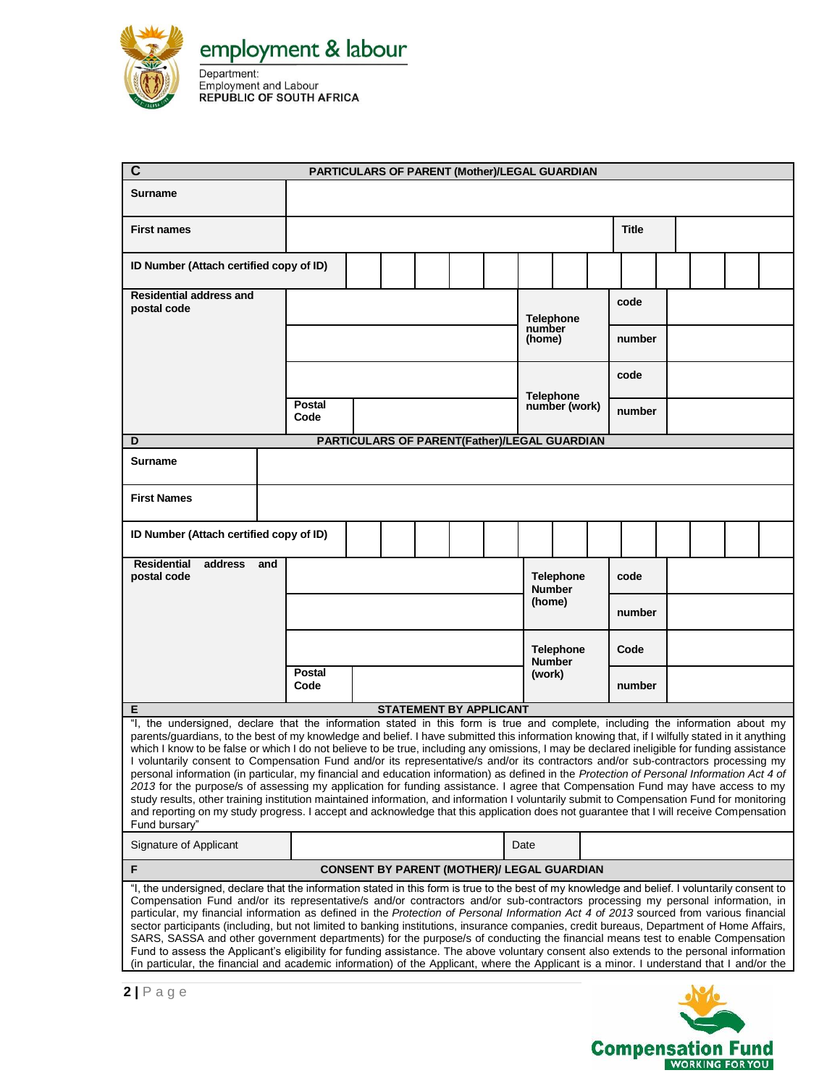

Department:<br>
Employment and Labour<br>
REPUBLIC OF SOUTH AFRICA

| $\mathbf c$                                                                                                                                                                                                                                                                                                                                                                                                                                                                                                                                                                                                                                                                                                                                                                                                                                                                                                                                                                                                                                                                                                                                                     |                                           | PARTICULARS OF PARENT (Mother)/LEGAL GUARDIAN |  |  |  |        |                                                   |                                   |                  |      |        |  |  |  |  |
|-----------------------------------------------------------------------------------------------------------------------------------------------------------------------------------------------------------------------------------------------------------------------------------------------------------------------------------------------------------------------------------------------------------------------------------------------------------------------------------------------------------------------------------------------------------------------------------------------------------------------------------------------------------------------------------------------------------------------------------------------------------------------------------------------------------------------------------------------------------------------------------------------------------------------------------------------------------------------------------------------------------------------------------------------------------------------------------------------------------------------------------------------------------------|-------------------------------------------|-----------------------------------------------|--|--|--|--------|---------------------------------------------------|-----------------------------------|------------------|------|--------|--|--|--|--|
| <b>Surname</b>                                                                                                                                                                                                                                                                                                                                                                                                                                                                                                                                                                                                                                                                                                                                                                                                                                                                                                                                                                                                                                                                                                                                                  |                                           |                                               |  |  |  |        |                                                   |                                   |                  |      |        |  |  |  |  |
| <b>First names</b>                                                                                                                                                                                                                                                                                                                                                                                                                                                                                                                                                                                                                                                                                                                                                                                                                                                                                                                                                                                                                                                                                                                                              |                                           |                                               |  |  |  |        |                                                   | <b>Title</b>                      |                  |      |        |  |  |  |  |
| ID Number (Attach certified copy of ID)                                                                                                                                                                                                                                                                                                                                                                                                                                                                                                                                                                                                                                                                                                                                                                                                                                                                                                                                                                                                                                                                                                                         |                                           |                                               |  |  |  |        |                                                   |                                   |                  |      |        |  |  |  |  |
| <b>Residential address and</b><br>postal code                                                                                                                                                                                                                                                                                                                                                                                                                                                                                                                                                                                                                                                                                                                                                                                                                                                                                                                                                                                                                                                                                                                   |                                           |                                               |  |  |  |        | <b>Telephone</b>                                  |                                   |                  | code |        |  |  |  |  |
|                                                                                                                                                                                                                                                                                                                                                                                                                                                                                                                                                                                                                                                                                                                                                                                                                                                                                                                                                                                                                                                                                                                                                                 |                                           |                                               |  |  |  |        | number<br>number<br>(home)                        |                                   |                  |      |        |  |  |  |  |
|                                                                                                                                                                                                                                                                                                                                                                                                                                                                                                                                                                                                                                                                                                                                                                                                                                                                                                                                                                                                                                                                                                                                                                 |                                           |                                               |  |  |  |        |                                                   |                                   |                  | code |        |  |  |  |  |
|                                                                                                                                                                                                                                                                                                                                                                                                                                                                                                                                                                                                                                                                                                                                                                                                                                                                                                                                                                                                                                                                                                                                                                 |                                           | <b>Postal</b><br>Code                         |  |  |  |        |                                                   | <b>Telephone</b><br>number (work) |                  |      | number |  |  |  |  |
| D                                                                                                                                                                                                                                                                                                                                                                                                                                                                                                                                                                                                                                                                                                                                                                                                                                                                                                                                                                                                                                                                                                                                                               |                                           |                                               |  |  |  |        | PARTICULARS OF PARENT(Father)/LEGAL GUARDIAN      |                                   |                  |      |        |  |  |  |  |
| Surname                                                                                                                                                                                                                                                                                                                                                                                                                                                                                                                                                                                                                                                                                                                                                                                                                                                                                                                                                                                                                                                                                                                                                         |                                           |                                               |  |  |  |        |                                                   |                                   |                  |      |        |  |  |  |  |
| <b>First Names</b>                                                                                                                                                                                                                                                                                                                                                                                                                                                                                                                                                                                                                                                                                                                                                                                                                                                                                                                                                                                                                                                                                                                                              |                                           |                                               |  |  |  |        |                                                   |                                   |                  |      |        |  |  |  |  |
| ID Number (Attach certified copy of ID)                                                                                                                                                                                                                                                                                                                                                                                                                                                                                                                                                                                                                                                                                                                                                                                                                                                                                                                                                                                                                                                                                                                         |                                           |                                               |  |  |  |        |                                                   |                                   |                  |      |        |  |  |  |  |
| <b>Residential</b><br>address<br>postal code                                                                                                                                                                                                                                                                                                                                                                                                                                                                                                                                                                                                                                                                                                                                                                                                                                                                                                                                                                                                                                                                                                                    | and                                       |                                               |  |  |  |        |                                                   | <b>Number</b>                     | <b>Telephone</b> |      | code   |  |  |  |  |
|                                                                                                                                                                                                                                                                                                                                                                                                                                                                                                                                                                                                                                                                                                                                                                                                                                                                                                                                                                                                                                                                                                                                                                 |                                           |                                               |  |  |  | (home) |                                                   |                                   | number           |      |        |  |  |  |  |
|                                                                                                                                                                                                                                                                                                                                                                                                                                                                                                                                                                                                                                                                                                                                                                                                                                                                                                                                                                                                                                                                                                                                                                 | <b>Telephone</b><br>Code<br><b>Number</b> |                                               |  |  |  |        |                                                   |                                   |                  |      |        |  |  |  |  |
|                                                                                                                                                                                                                                                                                                                                                                                                                                                                                                                                                                                                                                                                                                                                                                                                                                                                                                                                                                                                                                                                                                                                                                 |                                           | <b>Postal</b><br>Code                         |  |  |  |        |                                                   | (work)<br>number                  |                  |      |        |  |  |  |  |
| Е                                                                                                                                                                                                                                                                                                                                                                                                                                                                                                                                                                                                                                                                                                                                                                                                                                                                                                                                                                                                                                                                                                                                                               |                                           |                                               |  |  |  |        | <b>STATEMENT BY APPLICANT</b>                     |                                   |                  |      |        |  |  |  |  |
| "I, the undersigned, declare that the information stated in this form is true and complete, including the information about my<br>parents/guardians, to the best of my knowledge and belief. I have submitted this information knowing that, if I wilfully stated in it anything<br>which I know to be false or which I do not believe to be true, including any omissions, I may be declared ineligible for funding assistance<br>I voluntarily consent to Compensation Fund and/or its representative/s and/or its contractors and/or sub-contractors processing my<br>personal information (in particular, my financial and education information) as defined in the Protection of Personal Information Act 4 of<br>2013 for the purpose/s of assessing my application for funding assistance. I agree that Compensation Fund may have access to my<br>study results, other training institution maintained information, and information I voluntarily submit to Compensation Fund for monitoring<br>and reporting on my study progress. I accept and acknowledge that this application does not guarantee that I will receive Compensation<br>Fund bursary" |                                           |                                               |  |  |  |        |                                                   |                                   |                  |      |        |  |  |  |  |
| Signature of Applicant                                                                                                                                                                                                                                                                                                                                                                                                                                                                                                                                                                                                                                                                                                                                                                                                                                                                                                                                                                                                                                                                                                                                          |                                           |                                               |  |  |  |        |                                                   | Date                              |                  |      |        |  |  |  |  |
| F                                                                                                                                                                                                                                                                                                                                                                                                                                                                                                                                                                                                                                                                                                                                                                                                                                                                                                                                                                                                                                                                                                                                                               |                                           |                                               |  |  |  |        | <b>CONSENT BY PARENT (MOTHER)/ LEGAL GUARDIAN</b> |                                   |                  |      |        |  |  |  |  |
| "I, the undersigned, declare that the information stated in this form is true to the best of my knowledge and belief. I voluntarily consent to<br>Compensation Fund and/or its representative/s and/or contractors and/or sub-contractors processing my personal information, in<br>particular, my financial information as defined in the Protection of Personal Information Act 4 of 2013 sourced from various financial<br>sector participants (including, but not limited to banking institutions, insurance companies, credit bureaus, Department of Home Affairs,<br>SARS, SASSA and other government departments) for the purpose/s of conducting the financial means test to enable Compensation<br>Fund to assess the Applicant's eligibility for funding assistance. The above voluntary consent also extends to the personal information<br>(in particular, the financial and academic information) of the Applicant, where the Applicant is a minor. I understand that I and/or the                                                                                                                                                                 |                                           |                                               |  |  |  |        |                                                   |                                   |                  |      |        |  |  |  |  |

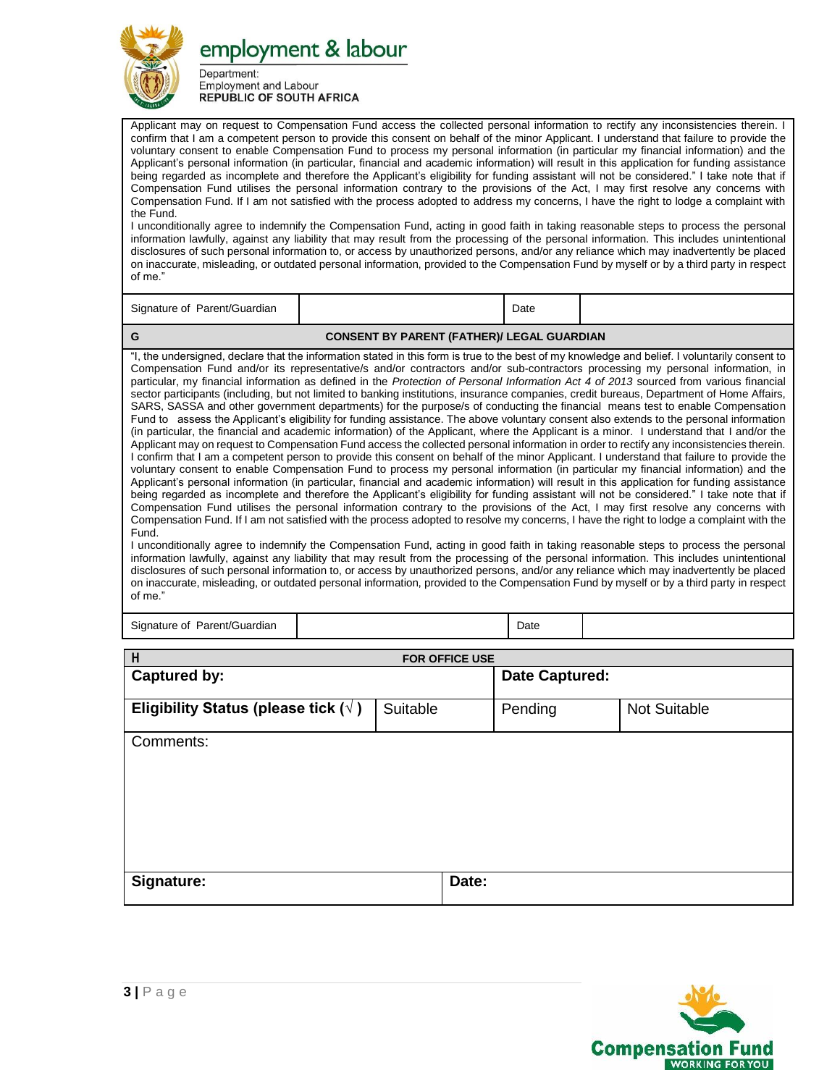

Department: **Employment and Labour REPUBLIC OF SOUTH AFRICA** 

Applicant may on request to Compensation Fund access the collected personal information to rectify any inconsistencies therein. I confirm that I am a competent person to provide this consent on behalf of the minor Applicant. I understand that failure to provide the voluntary consent to enable Compensation Fund to process my personal information (in particular my financial information) and the Applicant's personal information (in particular, financial and academic information) will result in this application for funding assistance being regarded as incomplete and therefore the Applicant's eligibility for funding assistant will not be considered." I take note that if Compensation Fund utilises the personal information contrary to the provisions of the Act, I may first resolve any concerns with Compensation Fund. If I am not satisfied with the process adopted to address my concerns, I have the right to lodge a complaint with the Fund.

I unconditionally agree to indemnify the Compensation Fund, acting in good faith in taking reasonable steps to process the personal information lawfully, against any liability that may result from the processing of the personal information. This includes unintentional disclosures of such personal information to, or access by unauthorized persons, and/or any reliance which may inadvertently be placed on inaccurate, misleading, or outdated personal information, provided to the Compensation Fund by myself or by a third party in respect of me."

Signature of Parent/Guardian Date Date Date

## **G CONSENT BY PARENT (FATHER)/ LEGAL GUARDIAN**

"I, the undersigned, declare that the information stated in this form is true to the best of my knowledge and belief. I voluntarily consent to Compensation Fund and/or its representative/s and/or contractors and/or sub-contractors processing my personal information, in particular, my financial information as defined in the *Protection of Personal Information Act 4 of 2013* sourced from various financial sector participants (including, but not limited to banking institutions, insurance companies, credit bureaus, Department of Home Affairs, SARS, SASSA and other government departments) for the purpose/s of conducting the financial means test to enable Compensation Fund to assess the Applicant's eligibility for funding assistance. The above voluntary consent also extends to the personal information (in particular, the financial and academic information) of the Applicant, where the Applicant is a minor. I understand that I and/or the Applicant may on request to Compensation Fund access the collected personal information in order to rectify any inconsistencies therein. I confirm that I am a competent person to provide this consent on behalf of the minor Applicant. I understand that failure to provide the voluntary consent to enable Compensation Fund to process my personal information (in particular my financial information) and the Applicant's personal information (in particular, financial and academic information) will result in this application for funding assistance being regarded as incomplete and therefore the Applicant's eligibility for funding assistant will not be considered." I take note that if Compensation Fund utilises the personal information contrary to the provisions of the Act, I may first resolve any concerns with Compensation Fund. If I am not satisfied with the process adopted to resolve my concerns, I have the right to lodge a complaint with the Fund.

I unconditionally agree to indemnify the Compensation Fund, acting in good faith in taking reasonable steps to process the personal information lawfully, against any liability that may result from the processing of the personal information. This includes unintentional disclosures of such personal information to, or access by unauthorized persons, and/or any reliance which may inadvertently be placed on inaccurate, misleading, or outdated personal information, provided to the Compensation Fund by myself or by a third party in respect of me."

Signature of Parent/Guardian Date Date of Parent/Guardian Date Date Date Date Date Date

| H                                           |          | FOR OFFICE USE |                       |                     |  |  |  |  |
|---------------------------------------------|----------|----------------|-----------------------|---------------------|--|--|--|--|
| <b>Captured by:</b>                         |          |                | <b>Date Captured:</b> |                     |  |  |  |  |
| Eligibility Status (please tick $(\forall)$ | Suitable |                | Pending               | <b>Not Suitable</b> |  |  |  |  |
| Comments:                                   |          |                |                       |                     |  |  |  |  |
| Signature:                                  |          | Date:          |                       |                     |  |  |  |  |

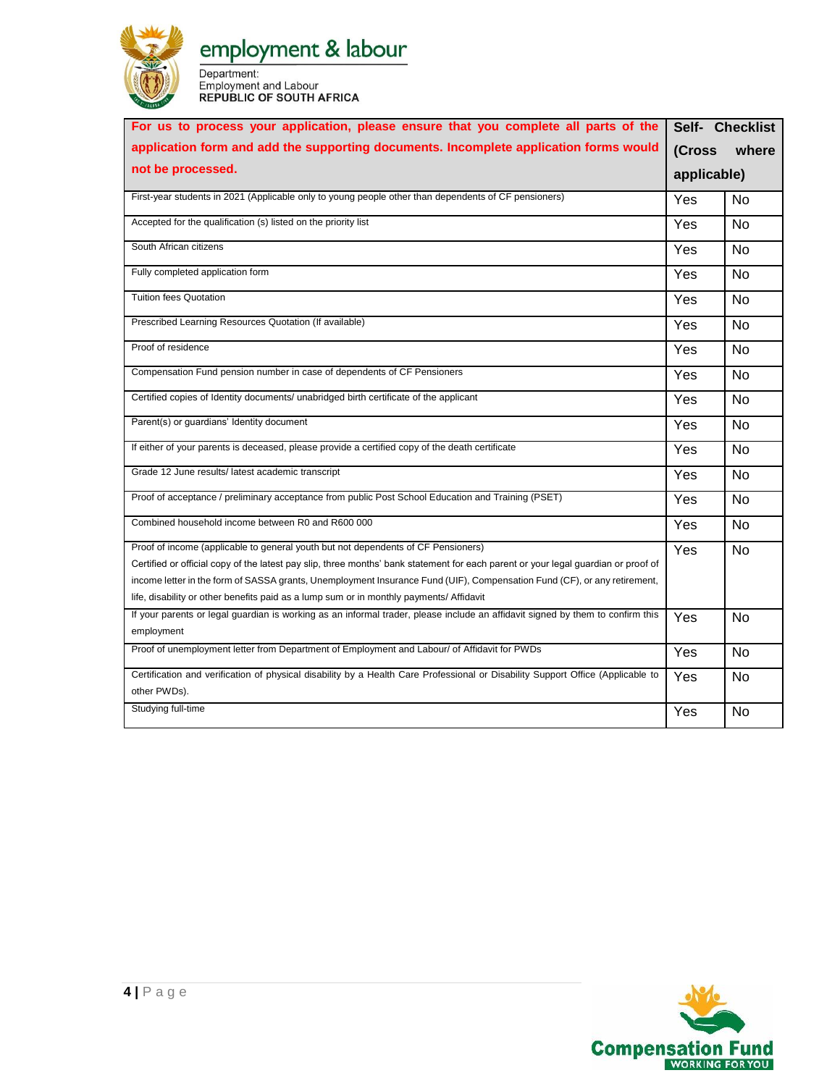

Department:<br>
Employment and Labour<br>
REPUBLIC OF SOUTH AFRICA

| For us to process your application, please ensure that you complete all parts of the                                                                                                                                                                                                                                                                                                                                                           |             | Self- Checklist |  |  |
|------------------------------------------------------------------------------------------------------------------------------------------------------------------------------------------------------------------------------------------------------------------------------------------------------------------------------------------------------------------------------------------------------------------------------------------------|-------------|-----------------|--|--|
| application form and add the supporting documents. Incomplete application forms would                                                                                                                                                                                                                                                                                                                                                          | (Cross      | where           |  |  |
| not be processed.                                                                                                                                                                                                                                                                                                                                                                                                                              | applicable) |                 |  |  |
| First-year students in 2021 (Applicable only to young people other than dependents of CF pensioners)                                                                                                                                                                                                                                                                                                                                           | Yes         | <b>No</b>       |  |  |
| Accepted for the qualification (s) listed on the priority list                                                                                                                                                                                                                                                                                                                                                                                 | Yes         | <b>No</b>       |  |  |
| South African citizens                                                                                                                                                                                                                                                                                                                                                                                                                         | Yes         | <b>No</b>       |  |  |
| Fully completed application form                                                                                                                                                                                                                                                                                                                                                                                                               | Yes         | No              |  |  |
| <b>Tuition fees Quotation</b>                                                                                                                                                                                                                                                                                                                                                                                                                  | Yes         | No              |  |  |
| Prescribed Learning Resources Quotation (If available)                                                                                                                                                                                                                                                                                                                                                                                         | Yes         | No              |  |  |
| Proof of residence                                                                                                                                                                                                                                                                                                                                                                                                                             | Yes         | <b>No</b>       |  |  |
| Compensation Fund pension number in case of dependents of CF Pensioners                                                                                                                                                                                                                                                                                                                                                                        | Yes         | <b>No</b>       |  |  |
| Certified copies of Identity documents/ unabridged birth certificate of the applicant                                                                                                                                                                                                                                                                                                                                                          | Yes         | <b>No</b>       |  |  |
| Parent(s) or guardians' Identity document                                                                                                                                                                                                                                                                                                                                                                                                      | Yes         | No              |  |  |
| If either of your parents is deceased, please provide a certified copy of the death certificate                                                                                                                                                                                                                                                                                                                                                | Yes         | No              |  |  |
| Grade 12 June results/ latest academic transcript                                                                                                                                                                                                                                                                                                                                                                                              | Yes         | <b>No</b>       |  |  |
| Proof of acceptance / preliminary acceptance from public Post School Education and Training (PSET)                                                                                                                                                                                                                                                                                                                                             | Yes         | <b>No</b>       |  |  |
| Combined household income between R0 and R600 000                                                                                                                                                                                                                                                                                                                                                                                              | Yes         | <b>No</b>       |  |  |
| Proof of income (applicable to general youth but not dependents of CF Pensioners)<br>Certified or official copy of the latest pay slip, three months' bank statement for each parent or your legal guardian or proof of<br>income letter in the form of SASSA grants, Unemployment Insurance Fund (UIF), Compensation Fund (CF), or any retirement,<br>life, disability or other benefits paid as a lump sum or in monthly payments/ Affidavit | Yes         | <b>No</b>       |  |  |
| If your parents or legal guardian is working as an informal trader, please include an affidavit signed by them to confirm this<br>employment                                                                                                                                                                                                                                                                                                   | Yes         | <b>No</b>       |  |  |
| Proof of unemployment letter from Department of Employment and Labour/ of Affidavit for PWDs                                                                                                                                                                                                                                                                                                                                                   | Yes         | <b>No</b>       |  |  |
| Certification and verification of physical disability by a Health Care Professional or Disability Support Office (Applicable to<br>other PWDs).                                                                                                                                                                                                                                                                                                | Yes         | <b>No</b>       |  |  |
| Studying full-time                                                                                                                                                                                                                                                                                                                                                                                                                             | Yes         | <b>No</b>       |  |  |